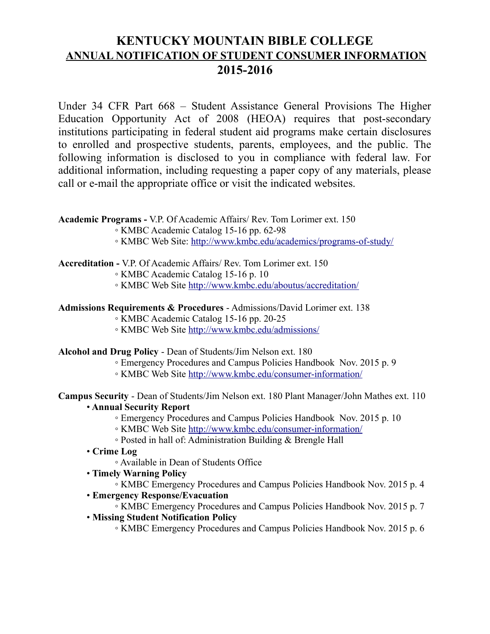# **KENTUCKY MOUNTAIN BIBLE COLLEGE ANNUAL NOTIFICATION OF STUDENT CONSUMER INFORMATION 2015-2016**

Under 34 CFR Part 668 – Student Assistance General Provisions The Higher Education Opportunity Act of 2008 (HEOA) requires that post-secondary institutions participating in federal student aid programs make certain disclosures to enrolled and prospective students, parents, employees, and the public. The following information is disclosed to you in compliance with federal law. For additional information, including requesting a paper copy of any materials, please call or e-mail the appropriate office or visit the indicated websites.

**Academic Programs -** V.P. Of Academic Affairs/ Rev. Tom Lorimer ext. 150

- KMBC Academic Catalog 15-16 pp. 62-98
- KMBC Web Site:<http://www.kmbc.edu/academics/programs-of-study/>

#### **Accreditation -** V.P. Of Academic Affairs/ Rev. Tom Lorimer ext. 150

◦ KMBC Academic Catalog 15-16 p. 10

◦ KMBC Web Site<http://www.kmbc.edu/aboutus/accreditation/>

#### **Admissions Requirements & Procedures** - Admissions/David Lorimer ext. 138

- KMBC Academic Catalog 15-16 pp. 20-25
- KMBC Web Site<http://www.kmbc.edu/admissions/>

#### **Alcohol and Drug Policy** - Dean of Students/Jim Nelson ext. 180

- Emergency Procedures and Campus Policies Handbook Nov. 2015 p. 9
- KMBC Web Site<http://www.kmbc.edu/consumer-information/>

**Campus Security** - Dean of Students/Jim Nelson ext. 180 Plant Manager/John Mathes ext. 110 • **Annual Security Report**

- Emergency Procedures and Campus Policies Handbook Nov. 2015 p. 10
- KMBC Web Site<http://www.kmbc.edu/consumer-information/>
- Posted in hall of: Administration Building & Brengle Hall
- **Crime Log**
	- Available in Dean of Students Office
- **Timely Warning Policy**
	- KMBC Emergency Procedures and Campus Policies Handbook Nov. 2015 p. 4
- **Emergency Response/Evacuation**
	- KMBC Emergency Procedures and Campus Policies Handbook Nov. 2015 p. 7
- **Missing Student Notification Policy**
	- KMBC Emergency Procedures and Campus Policies Handbook Nov. 2015 p. 6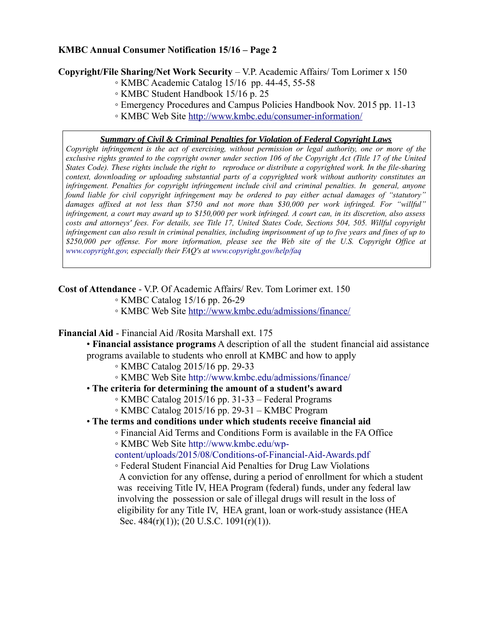## **KMBC Annual Consumer Notification 15/16 – Page 2**

#### **Copyright/File Sharing/Net Work Security** – V.P. Academic Affairs/ Tom Lorimer x 150

- KMBC Academic Catalog 15/16 pp. 44-45, 55-58
- KMBC Student Handbook 15/16 p. 25
- Emergency Procedures and Campus Policies Handbook Nov. 2015 pp. 11-13
- KMBC Web Site<http://www.kmbc.edu/consumer-information/>

#### *Summary of Civil & Criminal Penalties for Violation of Federal Copyright Laws*

*Copyright infringement is the act of exercising, without permission or legal authority, one or more of the exclusive rights granted to the copyright owner under section 106 of the Copyright Act (Title 17 of the United States Code). These rights include the right to reproduce or distribute a copyrighted work. In the file-sharing context, downloading or uploading substantial parts of a copyrighted work without authority constitutes an infringement. Penalties for copyright infringement include civil and criminal penalties. In general, anyone found liable for civil copyright infringement may be ordered to pay either actual damages of "statutory" damages affixed at not less than \$750 and not more than \$30,000 per work infringed. For "willful" infringement, a court may award up to \$150,000 per work infringed. A court can, in its discretion, also assess costs and attorneys' fees. For details, see Title 17, United States Code, Sections 504, 505. Willful copyright infringement can also result in criminal penalties, including imprisonment of up to five years and fines of up to \$250,000 per offense. For more information, please see the Web site of the U.S. Copyright Office at www.copyright.gov, especially their FAQ's at www.copyright.gov/help/faq*

#### **Cost of Attendance** - V.P. Of Academic Affairs/ Rev. Tom Lorimer ext. 150

- KMBC Catalog 15/16 pp. 26-29
- KMBC Web Site<http://www.kmbc.edu/admissions/finance/>

#### **Financial Aid** - Financial Aid /Rosita Marshall ext. 175

- **Financial assistance programs** A description of all the student financial aid assistance
- programs available to students who enroll at KMBC and how to apply
	- KMBC Catalog 2015/16 pp. 29-33
		- KMBC Web Site http://www.kmbc.edu/admissions/finance/

## • **The criteria for determining the amount of a student's award**

- KMBC Catalog 2015/16 pp. 31-33 Federal Programs
- KMBC Catalog 2015/16 pp. 29-31 KMBC Program

## • **The terms and conditions under which students receive financial aid**

- Financial Aid Terms and Conditions Form is available in the FA Office
- KMBC Web Site http://www.kmbc.edu/wp-

content/uploads/2015/08/Conditions-of-Financial-Aid-Awards.pdf

◦ Federal Student Financial Aid Penalties for Drug Law Violations A conviction for any offense, during a period of enrollment for which a student was receiving Title IV, HEA Program (federal) funds, under any federal law involving the possession or sale of illegal drugs will result in the loss of eligibility for any Title IV, HEA grant, loan or work-study assistance (HEA Sec.  $484(r)(1)$ ; (20 U.S.C. 1091(r)(1)).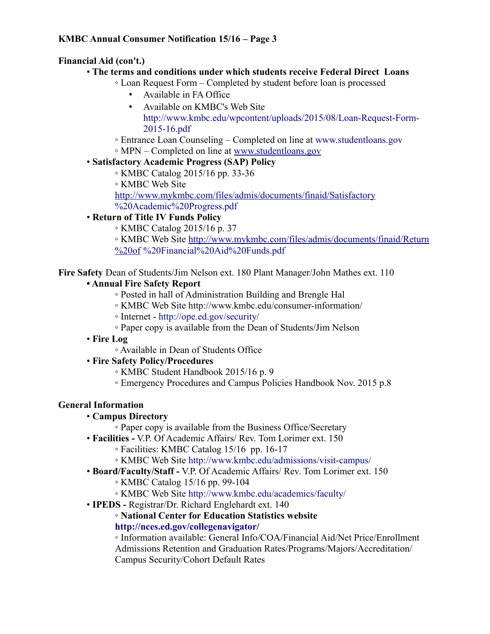# **Financial Aid (con't.)**

# • **The terms and conditions under which students receive Federal Direct Loans**

- Loan Request Form Completed by student before loan is processed
	- Available in FA Office
	- Available on KMBC's Web Site http://www.kmbc.edu/wpcontent/uploads/2015/08/Loan-Request-Form-2015-16.pdf
- Entrance Loan Counseling Completed on line at www.studentloans.gov
- MPN Completed on line at [www.studentloans.gov](http://www.studentloans.gov/)
- **Satisfactory Academic Progress (SAP) Policy**
	- KMBC Catalog 2015/16 pp. 33-36

◦ KMBC Web Site

<http://www.mykmbc.com/files/admis/documents/finaid/Satisfactory> %20Academic%20Progress.pdf

# • **Return of Title IV Funds Policy**

◦ KMBC Catalog 2015/16 p. 37

◦ KMBC Web Site [http://www.mykmbc.com/files/admis/documents/finaid/Return](http://www.mykmbc.com/files/admis/documents/finaid/Return%20of) [%20of](http://www.mykmbc.com/files/admis/documents/finaid/Return%20of) %20Financial%20Aid%20Funds.pdf

**Fire Safety** Dean of Students/Jim Nelson ext. 180 Plant Manager/John Mathes ext. 110

# **• Annual Fire Safety Report**

- Posted in hall of Administration Building and Brengle Hal
- KMBC Web Site http://www.kmbc.edu/consumer-information/
- Internet http://ope.ed.gov/security/
- Paper copy is available from the Dean of Students/Jim Nelson
- **Fire Log**
	- Available in Dean of Students Office
- **Fire Safety Policy/Procedures**
	- KMBC Student Handbook 2015/16 p. 9
	- Emergency Procedures and Campus Policies Handbook Nov. 2015 p.8

# **General Information**

- **Campus Directory**
	- Paper copy is available from the Business Office/Secretary
- **Facilities** V.P. Of Academic Affairs/ Rev. Tom Lorimer ext. 150
	- Facilities: KMBC Catalog 15/16 pp. 16-17
	- KMBC Web Site http://www.kmbc.edu/admissions/visit-campus/
- **Board/Faculty/Staff** V.P. Of Academic Affairs/ Rev. Tom Lorimer ext. 150
	- KMBC Catalog 15/16 pp. 99-104
	- KMBC Web Site http://www.kmbc.edu/academics/faculty/
- **IPEDS** Registrar/Dr. Richard Englehardt ext. 140
	- **National Center for Education Statistics website http://nces.ed.gov/collegenavigator/**

◦ Information available: General Info/COA/Financial Aid/Net Price/Enrollment Admissions Retention and Graduation Rates/Programs/Majors/Accreditation/ Campus Security/Cohort Default Rates